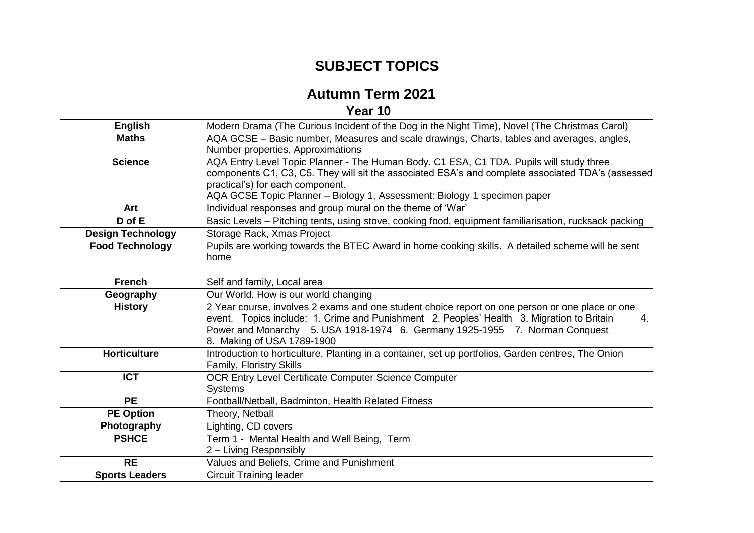#### **SUBJECT TOPICS**

#### **Autumn Term 2021**

#### **Year 10**

| <b>English</b>           | Modern Drama (The Curious Incident of the Dog in the Night Time), Novel (The Christmas Carol)         |
|--------------------------|-------------------------------------------------------------------------------------------------------|
| <b>Maths</b>             | AQA GCSE – Basic number, Measures and scale drawings, Charts, tables and averages, angles,            |
|                          | Number properties, Approximations                                                                     |
| <b>Science</b>           | AQA Entry Level Topic Planner - The Human Body. C1 ESA, C1 TDA. Pupils will study three               |
|                          | components C1, C3, C5. They will sit the associated ESA's and complete associated TDA's (assessed     |
|                          | practical's) for each component.                                                                      |
|                          | AQA GCSE Topic Planner - Biology 1, Assessment: Biology 1 specimen paper                              |
| Art                      | Individual responses and group mural on the theme of 'War'                                            |
| D of E                   | Basic Levels - Pitching tents, using stove, cooking food, equipment familiarisation, rucksack packing |
| <b>Design Technology</b> | Storage Rack, Xmas Project                                                                            |
| <b>Food Technology</b>   | Pupils are working towards the BTEC Award in home cooking skills. A detailed scheme will be sent      |
|                          | home                                                                                                  |
|                          |                                                                                                       |
| <b>French</b>            | Self and family, Local area                                                                           |
| Geography                | Our World. How is our world changing                                                                  |
| <b>History</b>           | 2 Year course, involves 2 exams and one student choice report on one person or one place or one       |
|                          | event. Topics include: 1. Crime and Punishment 2. Peoples' Health 3. Migration to Britain<br>4.       |
|                          | Power and Monarchy 5. USA 1918-1974 6. Germany 1925-1955 7. Norman Conquest                           |
|                          | 8. Making of USA 1789-1900                                                                            |
| <b>Horticulture</b>      | Introduction to horticulture, Planting in a container, set up portfolios, Garden centres, The Onion   |
|                          | Family, Floristry Skills                                                                              |
| <b>ICT</b>               | OCR Entry Level Certificate Computer Science Computer                                                 |
|                          | <b>Systems</b>                                                                                        |
| <b>PE</b>                | Football/Netball, Badminton, Health Related Fitness                                                   |
| <b>PE Option</b>         | Theory, Netball                                                                                       |
| Photography              | Lighting, CD covers                                                                                   |
| <b>PSHCE</b>             | Term 1 - Mental Health and Well Being, Term                                                           |
|                          | 2 - Living Responsibly                                                                                |
| <b>RE</b>                | Values and Beliefs, Crime and Punishment                                                              |
| <b>Sports Leaders</b>    | <b>Circuit Training leader</b>                                                                        |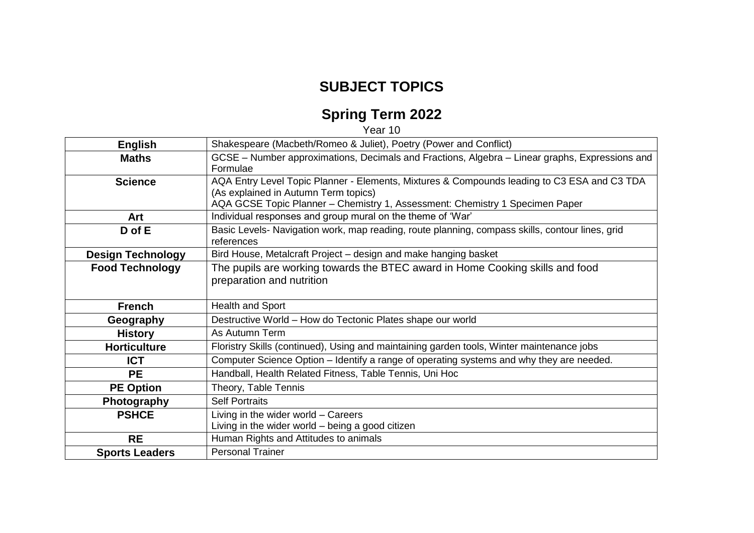### **SUBJECT TOPICS**

#### **Spring Term 2022**

Year 10

| <b>English</b>           | Shakespeare (Macbeth/Romeo & Juliet), Poetry (Power and Conflict)                                                                                                                                                   |
|--------------------------|---------------------------------------------------------------------------------------------------------------------------------------------------------------------------------------------------------------------|
| <b>Maths</b>             | GCSE - Number approximations, Decimals and Fractions, Algebra - Linear graphs, Expressions and<br>Formulae                                                                                                          |
| <b>Science</b>           | AQA Entry Level Topic Planner - Elements, Mixtures & Compounds leading to C3 ESA and C3 TDA<br>(As explained in Autumn Term topics)<br>AQA GCSE Topic Planner - Chemistry 1, Assessment: Chemistry 1 Specimen Paper |
| Art                      | Individual responses and group mural on the theme of 'War'                                                                                                                                                          |
| D of E                   | Basic Levels- Navigation work, map reading, route planning, compass skills, contour lines, grid<br>references                                                                                                       |
| <b>Design Technology</b> | Bird House, Metalcraft Project – design and make hanging basket                                                                                                                                                     |
| <b>Food Technology</b>   | The pupils are working towards the BTEC award in Home Cooking skills and food<br>preparation and nutrition                                                                                                          |
| <b>French</b>            | Health and Sport                                                                                                                                                                                                    |
| Geography                | Destructive World - How do Tectonic Plates shape our world                                                                                                                                                          |
| <b>History</b>           | As Autumn Term                                                                                                                                                                                                      |
| <b>Horticulture</b>      | Floristry Skills (continued), Using and maintaining garden tools, Winter maintenance jobs                                                                                                                           |
| <b>ICT</b>               | Computer Science Option - Identify a range of operating systems and why they are needed.                                                                                                                            |
| <b>PE</b>                | Handball, Health Related Fitness, Table Tennis, Uni Hoc                                                                                                                                                             |
| <b>PE Option</b>         | Theory, Table Tennis                                                                                                                                                                                                |
| Photography              | <b>Self Portraits</b>                                                                                                                                                                                               |
| <b>PSHCE</b>             | Living in the wider world $-$ Careers<br>Living in the wider world $-$ being a good citizen                                                                                                                         |
| <b>RE</b>                | Human Rights and Attitudes to animals                                                                                                                                                                               |
| <b>Sports Leaders</b>    | <b>Personal Trainer</b>                                                                                                                                                                                             |